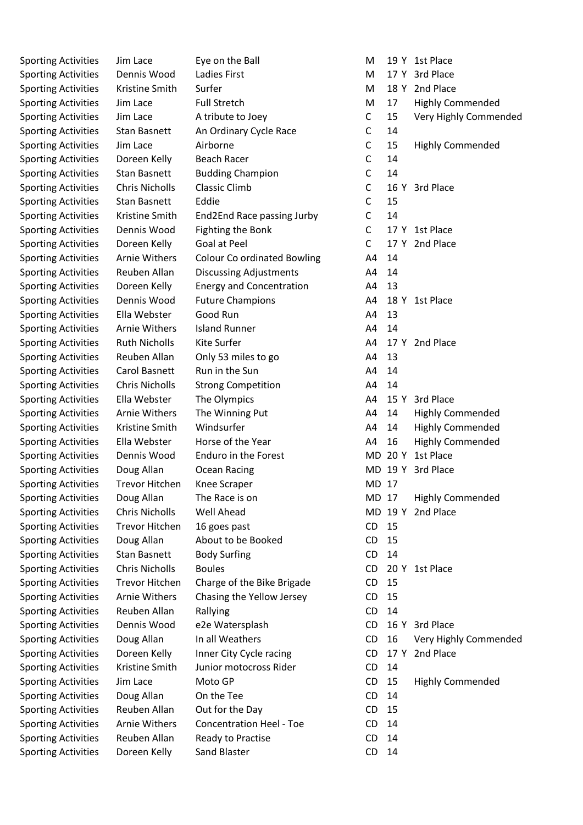Sporting Activities Jim Lace Eye on the Ball M 19 Y 1st Place Sporting Activities Dennis Wood Ladies First M 17 Y 3rd Place Sporting Activities Kristine Smith Surfer Manual Communication Manual 2018 Y 2nd Place Sporting Activities Stan Basnett An Ordinary Cycle Race C 14 Sporting Activities Doreen Kelly Beach Racer C 14 Sporting Activities Stan Basnett Budding Champion C 14 Sporting Activities Chris Nicholls Classic Climb C 16 Y 3rd Place Sporting Activities Stan Basnett Eddie C 15 Sporting Activities Kristine Smith End2End Race passing Jurby C 14 Sporting Activities Dennis Wood Fighting the Bonk C 17 Y 1st Place Sporting Activities Doreen Kelly Goal at Peel C 17 Y 2nd Place Sporting Activities Arnie Withers Colour Co ordinated Bowling A4 14 Sporting Activities Reuben Allan Discussing Adjustments A4 14 Sporting Activities Doreen Kelly Energy and Concentration 64 13 Sporting Activities Dennis Wood Future Champions 64 18 Y 1st Place Sporting Activities Lella Webster Good Run A4 13 Sporting Activities Arnie Withers Island Runner A4 14 Sporting Activities Ruth Nicholls Kite Surfer Activities Ruth Nicholls A4 17 Y 2nd Place Sporting Activities Reuben Allan Only 53 miles to go A4 13 Sporting Activities Carol Basnett Run in the Sun A4 14 14 Sporting Activities Chris Nicholls Strong Competition 64 14 Sporting Activities Langue Ella Webster The Olympics The A4 15 Y 3rd Place Sporting Activities Dennis Wood Enduro in the Forest MD 20 Y 1st Place Sporting Activities Doug Allan Ocean Racing MB 19 Y 3rd Place Sporting Activities Trevor Hitchen Knee Scraper MD 17 Sporting Activities Chris Nicholls Well Ahead MD 19 Y 2nd Place Sporting Activities Trevor Hitchen 16 goes past CD 15 Sporting Activities Doug Allan About to be Booked CD 15 Sporting Activities Stan Basnett Body Surfing The CD 14 Sporting Activities Chris Nicholls Boules CO 20 Y 1st Place Sporting Activities Trevor Hitchen Charge of the Bike Brigade CD 15 Sporting Activities Arnie Withers Chasing the Yellow Jersey CD 15 Sporting Activities Reuben Allan Rallying CD 14 Sporting Activities Dennis Wood e2e Watersplash CD 16 Y 3rd Place Sporting Activities Doreen Kelly Inner City Cycle racing CD 17 Y 2nd Place Sporting Activities Kristine Smith Junior motocross Rider CD 14 Sporting Activities Doug Allan On the Tee CD 14 Sporting Activities Reuben Allan Out for the Day CD 15 Sporting Activities Arnie Withers Concentration Heel - Toe CD 14 Sporting Activities Reuben Allan Ready to Practise CD 14 Sporting Activities Doreen Kelly Sand Blaster CD 14

Sporting Activities Jim Lace Full Stretch M 17 Highly Commended Sporting Activities Jim Lace A tribute to Joey C 15 Very Highly Commended Sporting Activities Jim Lace Airborne and C 15 Highly Commended Sporting Activities Arnie Withers The Winning Put **A4 14 Highly Commended** Sporting Activities Kristine Smith Windsurfer **A4 14 Highly Commended** Sporting Activities La Ella Webster Horse of the Year Theory A4 16 Highly Commended Sporting Activities Doug Allan The Race is on MD 17 Highly Commended Sporting Activities Doug Allan In all Weathers CD 16 Very Highly Commended Sporting Activities Jim Lace Moto GP CD 15 Highly Commended